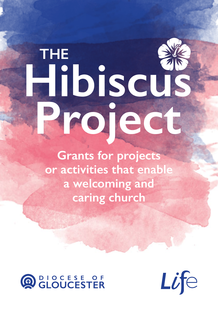## **Hibiscus Project THE**

**Grants for projects or activities that enable a welcoming and caring church**



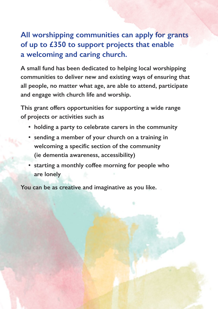## **All worshipping communities can apply for grants of up to £350 to support projects that enable a welcoming and caring church.**

**A small fund has been dedicated to helping local worshipping communities to deliver new and existing ways of ensuring that all people, no matter what age, are able to attend, participate and engage with church life and worship.**

**This grant offers opportunities for supporting a wide range of projects or activities such as**

- **holding a party to celebrate carers in the community**
- **sending a member of your church on a training in welcoming a specific section of the community (ie dementia awareness, accessibility)**
- **starting a monthly coffee morning for people who are lonely**

**You can be as creative and imaginative as you like.**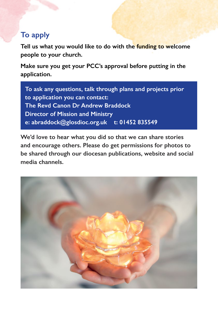## **To apply**

**Tell us what you would like to do with the funding to welcome people to your church.**

**Make sure you get your PCC's approval before putting in the application.**

**To ask any questions, talk through plans and projects prior to application you can contact: The Revd Canon Dr Andrew Braddock Director of Mission and Ministry e: abraddock@glosdioc.org.uk t: 01452 835549**

**We'd love to hear what you did so that we can share stories and encourage others. Please do get permissions for photos to be shared through our diocesan publications, website and social media channels.**